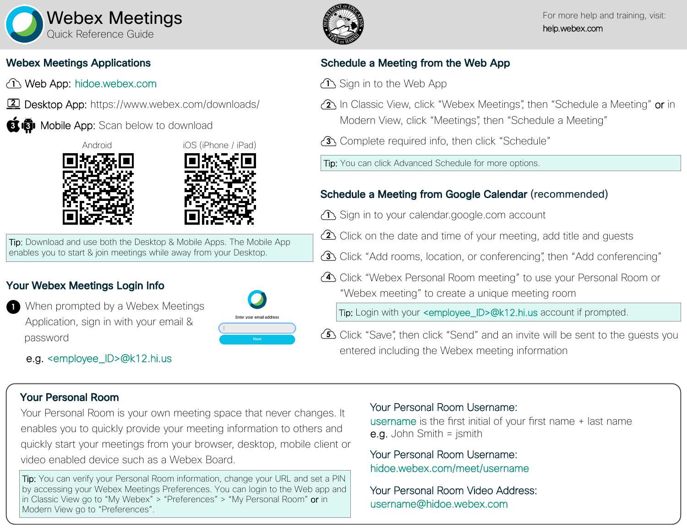

### Webex Meetings Applications

- Web App: hidoe.webex.com **1**
- Desktop App: https://www.webex.com/downloads/ **2**
- Mobile App: Scan below to download **3 3**





**Tip:** Download and use both the Desktop & Mobile Apps. The Mobile App enables you to start & join meetings while away from your Desktop.

## Your Webex Meetings Login Info

- When prompted by a Webex Meetings Application, sign in with your email & password **1**
	- e.g. <employee\_ID>@k12.hi.us



## Schedule a Meeting from the Web App

- $\mathbf{\hat{D}}$  Sign in to the Web App
- **2** In Classic View, click "Webex Meetings", then "Schedule a Meeting" or in Modern View, click "Meetings", then "Schedule a Meeting"
- Complete required info, then click "Schedule" **3**

Tip: You can click Advanced Schedule for more options.

# Schedule a Meeting from Google Calendar (recommended)

- $\mathbf{\hat{D}}$  Sign in to your calendar google com account
- Click on the date and time of your meeting, add title and guests **2**
- Click "Add rooms, location, or conferencing", then "Add conferencing" **3**
- Click "Webex Personal Room meeting" to use your Personal Room or **4** "Webex meeting" to create a unique meeting room

Tip: Login with your <employee\_ID>@k12.hi.us account if prompted.

Click "Save", then click "Send" and an invite will be sent to the guests you **5** entered including the Webex meeting information

### Your Personal Room

Your Personal Room is your own meeting space that never changes. It enables you to quickly provide your meeting information to others and quickly start your meetings from your browser, desktop, mobile client or video enabled device such as a Webex Board.

Tip: You can verify your Personal Room information, change your URL and set a PIN by accessing your Webex Meetings Preferences. You can login to the Web app and in Classic View go to "My Webex" > "Preferences" > "My Personal Room" or in Modern View go to "Preferences".

#### Your Personal Room Username:

username is the first initial of your first name + last name e.g. John Smith = jsmith

#### hidoe.webex.com/meet/username Your Personal Room Username:

username@hidoe.webex.com Your Personal Room Video Address: